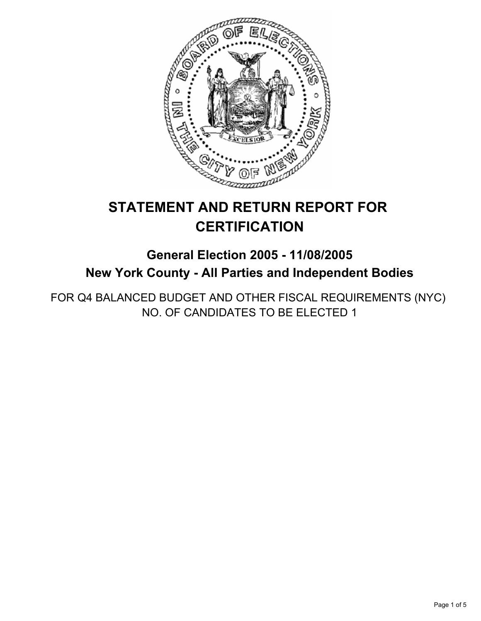

# **STATEMENT AND RETURN REPORT FOR CERTIFICATION**

## **General Election 2005 - 11/08/2005 New York County - All Parties and Independent Bodies**

FOR Q4 BALANCED BUDGET AND OTHER FISCAL REQUIREMENTS (NYC) NO. OF CANDIDATES TO BE ELECTED 1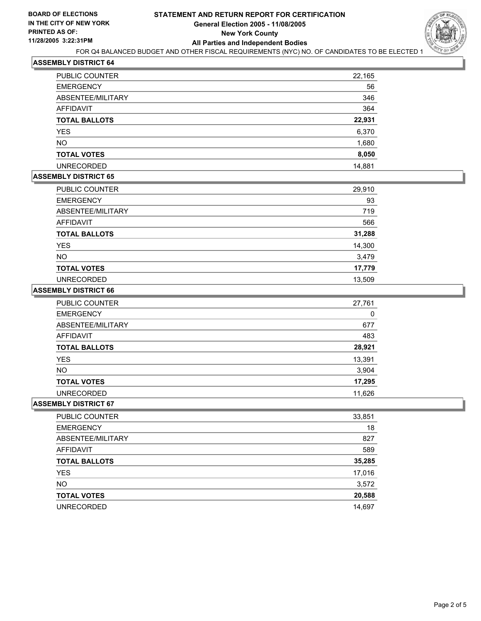

## **ASSEMBLY DISTRICT 64**

| <b>PUBLIC COUNTER</b> | 22,165 |
|-----------------------|--------|
| <b>EMERGENCY</b>      | 56     |
| ABSENTEE/MILITARY     | 346    |
| <b>AFFIDAVIT</b>      | 364    |
| <b>TOTAL BALLOTS</b>  | 22,931 |
| <b>YES</b>            | 6,370  |
| <b>NO</b>             | 1,680  |
| <b>TOTAL VOTES</b>    | 8,050  |
| <b>UNRECORDED</b>     | 14,881 |

#### **ASSEMBLY DISTRICT 65**

| PUBLIC COUNTER       | 29,910 |
|----------------------|--------|
| <b>EMERGENCY</b>     | 93     |
| ABSENTEE/MILITARY    | 719    |
| <b>AFFIDAVIT</b>     | 566    |
| <b>TOTAL BALLOTS</b> | 31,288 |
| <b>YES</b>           | 14,300 |
| <b>NO</b>            | 3,479  |
| <b>TOTAL VOTES</b>   | 17,779 |
| <b>UNRECORDED</b>    | 13,509 |

#### **ASSEMBLY DISTRICT 66**

| <b>PUBLIC COUNTER</b> | 27,761 |
|-----------------------|--------|
| <b>EMERGENCY</b>      | 0      |
| ABSENTEE/MILITARY     | 677    |
| AFFIDAVIT             | 483    |
| <b>TOTAL BALLOTS</b>  | 28,921 |
| <b>YES</b>            | 13,391 |
| <b>NO</b>             | 3,904  |
| <b>TOTAL VOTES</b>    | 17,295 |
| <b>UNRECORDED</b>     | 11,626 |

#### **ASSEMBLY DISTRICT 67**

| PUBLIC COUNTER       | 33,851 |
|----------------------|--------|
| <b>EMERGENCY</b>     | 18     |
| ABSENTEE/MILITARY    | 827    |
| AFFIDAVIT            | 589    |
| <b>TOTAL BALLOTS</b> | 35,285 |
| <b>YES</b>           | 17,016 |
| <b>NO</b>            | 3,572  |
| <b>TOTAL VOTES</b>   | 20,588 |
| <b>UNRECORDED</b>    | 14,697 |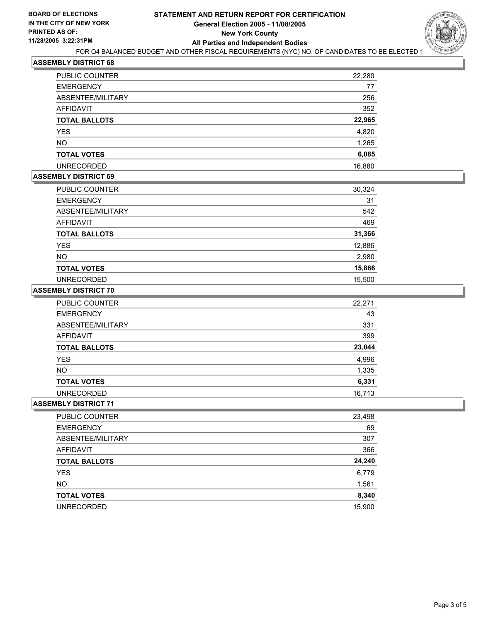

#### **ASSEMBLY DISTRICT 68**

| PUBLIC COUNTER       | 22,280 |
|----------------------|--------|
| <b>EMERGENCY</b>     | 77     |
| ABSENTEE/MILITARY    | 256    |
| <b>AFFIDAVIT</b>     | 352    |
| <b>TOTAL BALLOTS</b> | 22,965 |
| <b>YES</b>           | 4,820  |
| <b>NO</b>            | 1,265  |
| <b>TOTAL VOTES</b>   | 6,085  |
| <b>UNRECORDED</b>    | 16,880 |

## **ASSEMBLY DISTRICT 69**

| PUBLIC COUNTER       | 30,324 |
|----------------------|--------|
| <b>EMERGENCY</b>     | 31     |
| ABSENTEE/MILITARY    | 542    |
| <b>AFFIDAVIT</b>     | 469    |
| <b>TOTAL BALLOTS</b> | 31,366 |
| <b>YES</b>           | 12,886 |
| <b>NO</b>            | 2,980  |
| <b>TOTAL VOTES</b>   | 15,866 |
| <b>UNRECORDED</b>    | 15,500 |

#### **ASSEMBLY DISTRICT 70**

| <b>PUBLIC COUNTER</b> | 22,271 |
|-----------------------|--------|
| <b>EMERGENCY</b>      | 43     |
| ABSENTEE/MILITARY     | 331    |
| AFFIDAVIT             | 399    |
| <b>TOTAL BALLOTS</b>  | 23,044 |
| YES                   | 4,996  |
| <b>NO</b>             | 1,335  |
| <b>TOTAL VOTES</b>    | 6,331  |
| <b>UNRECORDED</b>     | 16,713 |

## **ASSEMBLY DISTRICT 71**

| PUBLIC COUNTER       | 23,498 |
|----------------------|--------|
| <b>EMERGENCY</b>     | 69     |
| ABSENTEE/MILITARY    | 307    |
| AFFIDAVIT            | 366    |
| <b>TOTAL BALLOTS</b> | 24,240 |
| <b>YES</b>           | 6,779  |
| <b>NO</b>            | 1,561  |
| <b>TOTAL VOTES</b>   | 8,340  |
| <b>UNRECORDED</b>    | 15,900 |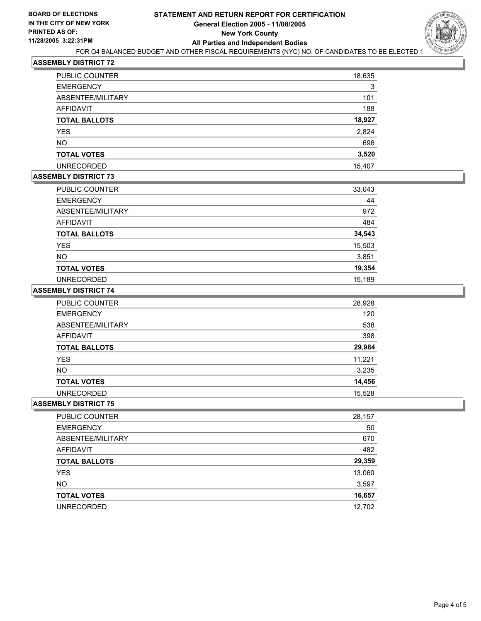

#### **ASSEMBLY DISTRICT 72**

| PUBLIC COUNTER       | 18,635 |
|----------------------|--------|
| <b>EMERGENCY</b>     | 3      |
| ABSENTEE/MILITARY    | 101    |
| AFFIDAVIT            | 188    |
| <b>TOTAL BALLOTS</b> | 18,927 |
| <b>YES</b>           | 2,824  |
| <b>NO</b>            | 696    |
| <b>TOTAL VOTES</b>   | 3,520  |
| <b>UNRECORDED</b>    | 15,407 |

### **ASSEMBLY DISTRICT 73**

| PUBLIC COUNTER       | 33,043 |
|----------------------|--------|
| <b>EMERGENCY</b>     | 44     |
| ABSENTEE/MILITARY    | 972    |
| <b>AFFIDAVIT</b>     | 484    |
| <b>TOTAL BALLOTS</b> | 34,543 |
| <b>YES</b>           | 15,503 |
| <b>NO</b>            | 3,851  |
| <b>TOTAL VOTES</b>   | 19,354 |
| <b>UNRECORDED</b>    | 15,189 |

#### **ASSEMBLY DISTRICT 74**

| PUBLIC COUNTER       | 28,928 |
|----------------------|--------|
| <b>EMERGENCY</b>     | 120    |
| ABSENTEE/MILITARY    | 538    |
| AFFIDAVIT            | 398    |
| <b>TOTAL BALLOTS</b> | 29,984 |
| YES                  | 11,221 |
| <b>NO</b>            | 3,235  |
| <b>TOTAL VOTES</b>   | 14,456 |
| <b>UNRECORDED</b>    | 15,528 |

#### **ASSEMBLY DISTRICT 75**

| PUBLIC COUNTER       | 28,157 |
|----------------------|--------|
| <b>EMERGENCY</b>     | 50     |
| ABSENTEE/MILITARY    | 670    |
| AFFIDAVIT            | 482    |
| <b>TOTAL BALLOTS</b> | 29,359 |
| <b>YES</b>           | 13,060 |
| <b>NO</b>            | 3,597  |
| <b>TOTAL VOTES</b>   | 16,657 |
| <b>UNRECORDED</b>    | 12,702 |